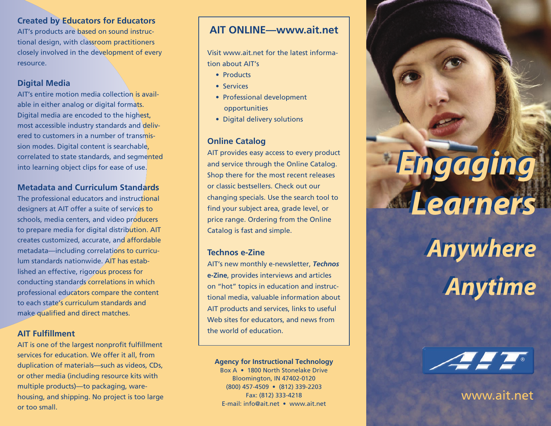### **Created by Educators for Educators**

AIT's products are based on sound instructional design, with classroom practitioners closely involved in the development of every resource.

### **Digital Media**

AIT's entire motion media collection is available in either analog or digital formats. Digital media are encoded to the highest, most accessible industry standards and delivered to customers in a number of transmission modes. Digital content is searchable, correlated to state standards, and segmented into learning object clips for ease of use.

### **Metadata and Curriculum Standards**

The professional educators and instructional designers at AIT offer a suite of services to schools, media centers, and video producers to prepare media for digital distribution. AIT creates customized, accurate, and affordable metadata—including correlations to curriculum standards nationwide. AIT has established an effective, rigorous process for conducting standards correlations in which professional educators compare the content to each state's curriculum standards and make qualified and direct matches.

### **AIT Fulfillment**

AIT is one of the largest nonprofit fulfillment services for education. We offer it all, from duplication of materials—such as videos, CDs, or other media (including resource kits with multiple products)—to packaging, warehousing, and shipping. No project is too large or too small.

### **AIT ONLINE—www.ait.net**

Visit www.ait.net for the latest information about AIT's

- Products
- Services
- Professional development opportunities
- Digital delivery solutions

### **Online Catalog**

AIT provides easy access to every product and service through the Online Catalog. Shop there for the most recent releases or classic bestsellers. Check out our changing specials. Use the search tool to find your subject area, grade level, or price range. Ordering from the Online Catalog is fast and simple.

### **Technos e-Zine**

AIT's new monthly e-newsletter, *Technos* **e-Zine**, provides interviews and articles on "hot" topics in education and instructional media, valuable information about AIT products and services, links to useful Web sites for educators, and news from the world of education.

**Agency for Instructional Technology**

Box A • 1800 North Stonelake Drive Bloomington, IN 47402-0120 (800) 457-4509 • (812) 339-2203 Fax: (812) 333-4218 E-mail: info@ait.net • www.ait.net

## *Engaging Learners Engaging Learners*

# *Anywhere Anywhere Anytime Anytime*



www.ait.net